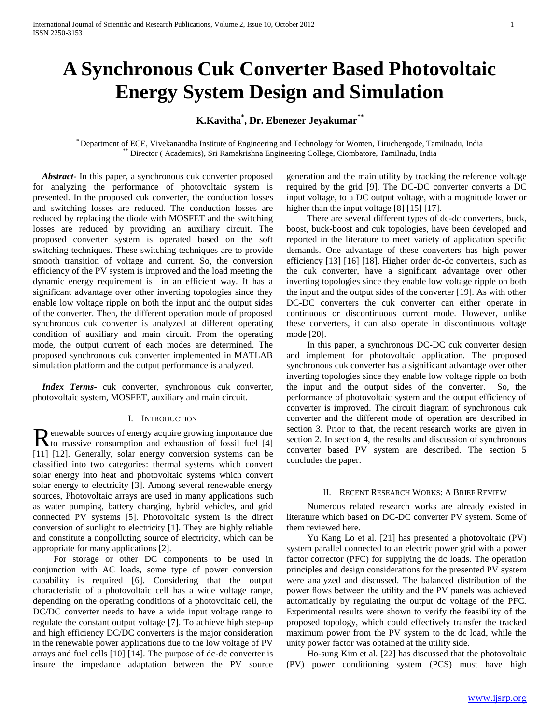# **A Synchronous Cuk Converter Based Photovoltaic Energy System Design and Simulation**

## **K.Kavitha\* , Dr. Ebenezer Jeyakumar\*\***

\* Department of ECE, Vivekanandha Institute of Engineering and Technology for Women, Tiruchengode, Tamilnadu, India \*\* Director ( Academics), Sri Ramakrishna Engineering College, Ciombatore, Tamilnadu, India

 *Abstract***-** In this paper, a synchronous cuk converter proposed for analyzing the performance of photovoltaic system is presented. In the proposed cuk converter, the conduction losses and switching losses are reduced. The conduction losses are reduced by replacing the diode with MOSFET and the switching losses are reduced by providing an auxiliary circuit. The proposed converter system is operated based on the soft switching techniques. These switching techniques are to provide smooth transition of voltage and current. So, the conversion efficiency of the PV system is improved and the load meeting the dynamic energy requirement is in an efficient way. It has a significant advantage over other inverting topologies since they enable low voltage ripple on both the input and the output sides of the converter. Then, the different operation mode of proposed synchronous cuk converter is analyzed at different operating condition of auxiliary and main circuit. From the operating mode, the output current of each modes are determined. The proposed synchronous cuk converter implemented in MATLAB simulation platform and the output performance is analyzed.

 *Index Terms*- cuk converter, synchronous cuk converter, photovoltaic system, MOSFET, auxiliary and main circuit.

#### I. INTRODUCTION

enewable sources of energy acquire growing importance due Renewable sources of energy acquire growing importance due<br>to massive consumption and exhaustion of fossil fuel [4] [11] [12]. Generally, solar energy conversion systems can be classified into two categories: thermal systems which convert solar energy into heat and photovoltaic systems which convert solar energy to electricity [3]. Among several renewable energy sources, Photovoltaic arrays are used in many applications such as water pumping, battery charging, hybrid vehicles, and grid connected PV systems [5]. Photovoltaic system is the direct conversion of sunlight to electricity [1]. They are highly reliable and constitute a nonpolluting source of electricity, which can be appropriate for many applications [2].

 For storage or other DC components to be used in conjunction with AC loads, some type of power conversion capability is required [6]. Considering that the output characteristic of a photovoltaic cell has a wide voltage range, depending on the operating conditions of a photovoltaic cell, the DC/DC converter needs to have a wide input voltage range to regulate the constant output voltage [7]. To achieve high step-up and high efficiency DC/DC converters is the major consideration in the renewable power applications due to the low voltage of PV arrays and fuel cells [10] [14]. The purpose of dc-dc converter is insure the impedance adaptation between the PV source generation and the main utility by tracking the reference voltage required by the grid [9]. The DC-DC converter converts a DC input voltage, to a DC output voltage, with a magnitude lower or higher than the input voltage [8] [15] [17].

 There are several different types of dc-dc converters, buck, boost, buck-boost and cuk topologies, have been developed and reported in the literature to meet variety of application specific demands. One advantage of these converters has high power efficiency [13] [16] [18]. Higher order dc-dc converters, such as the cuk converter, have a significant advantage over other inverting topologies since they enable low voltage ripple on both the input and the output sides of the converter [19]. As with other DC-DC converters the cuk converter can either operate in continuous or discontinuous current mode. However, unlike these converters, it can also operate in discontinuous voltage mode [20].

 In this paper, a synchronous DC-DC cuk converter design and implement for photovoltaic application. The proposed synchronous cuk converter has a significant advantage over other inverting topologies since they enable low voltage ripple on both the input and the output sides of the converter. So, the performance of photovoltaic system and the output efficiency of converter is improved. The circuit diagram of synchronous cuk converter and the different mode of operation are described in section 3. Prior to that, the recent research works are given in section 2. In section 4, the results and discussion of synchronous converter based PV system are described. The section 5 concludes the paper.

## II. RECENT RESEARCH WORKS: A BRIEF REVIEW

 Numerous related research works are already existed in literature which based on DC-DC converter PV system. Some of them reviewed here.

 Yu Kang Lo et al. [21] has presented a photovoltaic (PV) system parallel connected to an electric power grid with a power factor corrector (PFC) for supplying the dc loads. The operation principles and design considerations for the presented PV system were analyzed and discussed. The balanced distribution of the power flows between the utility and the PV panels was achieved automatically by regulating the output dc voltage of the PFC. Experimental results were shown to verify the feasibility of the proposed topology, which could effectively transfer the tracked maximum power from the PV system to the dc load, while the unity power factor was obtained at the utility side.

 Ho-sung Kim et al. [22] has discussed that the photovoltaic (PV) power conditioning system (PCS) must have high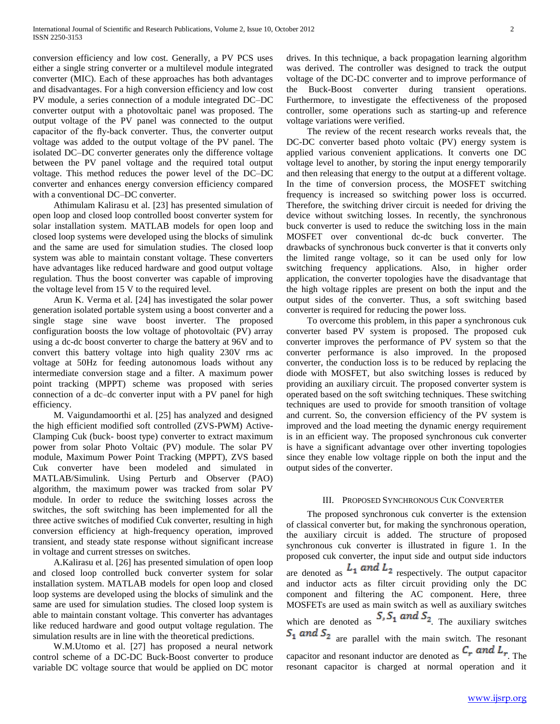conversion efficiency and low cost. Generally, a PV PCS uses either a single string converter or a multilevel module integrated converter (MIC). Each of these approaches has both advantages and disadvantages. For a high conversion efficiency and low cost PV module, a series connection of a module integrated DC–DC converter output with a photovoltaic panel was proposed. The output voltage of the PV panel was connected to the output capacitor of the fly-back converter. Thus, the converter output voltage was added to the output voltage of the PV panel. The isolated DC–DC converter generates only the difference voltage between the PV panel voltage and the required total output voltage. This method reduces the power level of the DC–DC converter and enhances energy conversion efficiency compared with a conventional DC–DC converter.

 Athimulam Kalirasu et al. [23] has presented simulation of open loop and closed loop controlled boost converter system for solar installation system. MATLAB models for open loop and closed loop systems were developed using the blocks of simulink and the same are used for simulation studies. The closed loop system was able to maintain constant voltage. These converters have advantages like reduced hardware and good output voltage regulation. Thus the boost converter was capable of improving the voltage level from 15 V to the required level.

 Arun K. Verma et al. [24] has investigated the solar power generation isolated portable system using a boost converter and a single stage sine wave boost inverter. The proposed configuration boosts the low voltage of photovoltaic (PV) array using a dc-dc boost converter to charge the battery at 96V and to convert this battery voltage into high quality 230V rms ac voltage at 50Hz for feeding autonomous loads without any intermediate conversion stage and a filter. A maximum power point tracking (MPPT) scheme was proposed with series connection of a dc–dc converter input with a PV panel for high efficiency.

 M. Vaigundamoorthi et al. [25] has analyzed and designed the high efficient modified soft controlled (ZVS-PWM) Active-Clamping Cuk (buck- boost type) converter to extract maximum power from solar Photo Voltaic (PV) module. The solar PV module, Maximum Power Point Tracking (MPPT), ZVS based Cuk converter have been modeled and simulated in MATLAB/Simulink. Using Perturb and Observer (PAO) algorithm, the maximum power was tracked from solar PV module. In order to reduce the switching losses across the switches, the soft switching has been implemented for all the three active switches of modified Cuk converter, resulting in high conversion efficiency at high-frequency operation, improved transient, and steady state response without significant increase in voltage and current stresses on switches.

 A.Kalirasu et al. [26] has presented simulation of open loop and closed loop controlled buck converter system for solar installation system. MATLAB models for open loop and closed loop systems are developed using the blocks of simulink and the same are used for simulation studies. The closed loop system is able to maintain constant voltage. This converter has advantages like reduced hardware and good output voltage regulation. The simulation results are in line with the theoretical predictions.

 W.M.Utomo et al. [27] has proposed a neural network control scheme of a DC-DC Buck-Boost converter to produce variable DC voltage source that would be applied on DC motor drives. In this technique, a back propagation learning algorithm was derived. The controller was designed to track the output voltage of the DC-DC converter and to improve performance of the Buck-Boost converter during transient operations. Furthermore, to investigate the effectiveness of the proposed controller, some operations such as starting-up and reference voltage variations were verified.

 The review of the recent research works reveals that, the DC-DC converter based photo voltaic (PV) energy system is applied various convenient applications. It converts one DC voltage level to another, by storing the input energy temporarily and then releasing that energy to the output at a different voltage. In the time of conversion process, the MOSFET switching frequency is increased so switching power loss is occurred. Therefore, the switching driver circuit is needed for driving the device without switching losses. In recently, the synchronous buck converter is used to reduce the switching loss in the main MOSFET over conventional dc-dc buck converter. The drawbacks of synchronous buck converter is that it converts only the limited range voltage, so it can be used only for low switching frequency applications. Also, in higher order application, the converter topologies have the disadvantage that the high voltage ripples are present on both the input and the output sides of the converter. Thus, a soft switching based converter is required for reducing the power loss.

 To overcome this problem, in this paper a synchronous cuk converter based PV system is proposed. The proposed cuk converter improves the performance of PV system so that the converter performance is also improved. In the proposed converter, the conduction loss is to be reduced by replacing the diode with MOSFET, but also switching losses is reduced by providing an auxiliary circuit. The proposed converter system is operated based on the soft switching techniques. These switching techniques are used to provide for smooth transition of voltage and current. So, the conversion efficiency of the PV system is improved and the load meeting the dynamic energy requirement is in an efficient way. The proposed synchronous cuk converter is have a significant advantage over other inverting topologies since they enable low voltage ripple on both the input and the output sides of the converter.

## III. PROPOSED SYNCHRONOUS CUK CONVERTER

 The proposed synchronous cuk converter is the extension of classical converter but, for making the synchronous operation, the auxiliary circuit is added. The structure of proposed synchronous cuk converter is illustrated in figure 1. In the proposed cuk converter, the input side and output side inductors are denoted as  $L_1$  and  $L_2$  respectively. The output capacitor and inductor acts as filter circuit providing only the DC component and filtering the AC component. Here, three MOSFETs are used as main switch as well as auxiliary switches which are denoted as  $S_1 S_1$  and  $S_2$ . The auxiliary switches  $S_1$  and  $S_2$  are parallel with the main switch. The resonant capacitor and resonant inductor are denoted as  $C_r$  and  $L_r$ . The resonant capacitor is charged at normal operation and it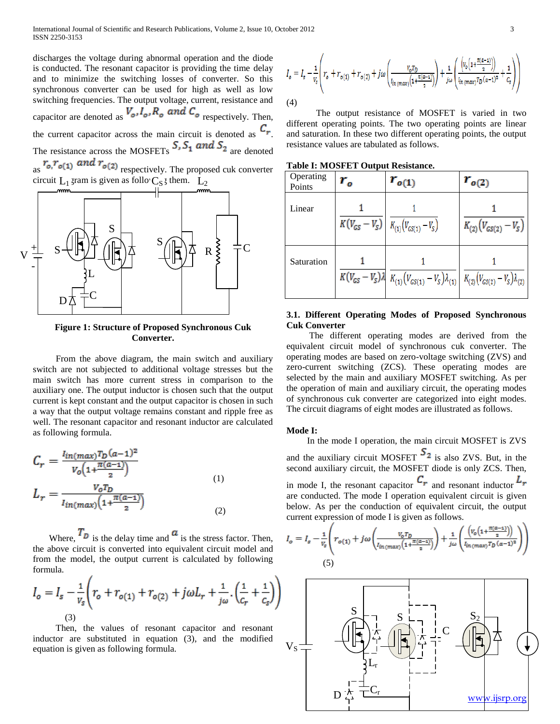discharges the voltage during abnormal operation and the diode is conducted. The resonant capacitor is providing the time delay and to minimize the switching losses of converter. So this synchronous converter can be used for high as well as low switching frequencies. The output voltage, current, resistance and capacitor are denoted as  $V_o, I_o, R_o$  and  $C_o$  respectively. Then, the current capacitor across the main circuit is denoted as  $C_r$ . The resistance across the MOSFETs  $S_1$ ,  $S_2$  and  $S_3$  are denoted  $r_{o,r_{o(1)}}$  and  $r_{o(2)}$  respectively. The proposed cuk converter circuit  $L_1$  gram is given as follo  $C_S$ ; them.  $L_2$ 



**Figure 1: Structure of Proposed Synchronous Cuk Converter.**

 From the above diagram, the main switch and auxiliary switch are not subjected to additional voltage stresses but the main switch has more current stress in comparison to the auxiliary one. The output inductor is chosen such that the output current is kept constant and the output capacitor is chosen in such a way that the output voltage remains constant and ripple free as well. The resonant capacitor and resonant inductor are calculated as following formula.

$$
C_r = \frac{l_{in(max)}T_D(a-1)^2}{V_o(1 + \frac{\pi(a-1)}{2})}
$$
  
\n
$$
L_r = \frac{V_oT_D}{l_{in(max)}(1 + \frac{\pi(a-1)}{2})}
$$
 (1)

Where,  $I_D$  is the delay time and  $\alpha$  is the stress factor. Then, the above circuit is converted into equivalent circuit model and from the model, the output current is calculated by following formula.

$$
I_o = I_s - \frac{1}{v_s} \left( r_o + r_{o(1)} + r_{o(2)} + j\omega L_r + \frac{1}{j\omega} \cdot \left( \frac{1}{c_r} + \frac{1}{c_s} \right) \right)
$$
  
(3)

 Then, the values of resonant capacitor and resonant inductor are substituted in equation (3), and the modified equation is given as following formula.

$$
I_o = I_s - \frac{1}{v_s} \left( r_o + r_{o(1)} + r_{o(2)} + j\omega \left( \frac{v_o \tau_D}{l_{in(max)} \left( 1 + \frac{\pi(a-1)}{2} \right)} \right) + \frac{1}{j\omega} \left( \frac{\left( v_o \left( 1 + \frac{\pi(a-1)}{2} \right) \right)}{l_{in(max)} \tau_D(a-1)^2} + \frac{1}{c_s} \right) \right)
$$
\n(4)

 The output resistance of MOSFET is varied in two different operating points. The two operating points are linear and saturation. In these two different operating points, the output resistance values are tabulated as follows.

**Table I: MOSFET Output Resistance.**

| Operating<br>Points | $r_{o}$ | $r_{o(1)}$                                                                                                                           | $r_{o(2)}$                 |
|---------------------|---------|--------------------------------------------------------------------------------------------------------------------------------------|----------------------------|
| Linear              |         | $K(V_{GS} - V_S)$ $K_{(1)}(V_{GS(1)} - V_S)$                                                                                         | $K_{(2)}(V_{GS(2)}-V_{S})$ |
| Saturation          |         | $K\big(V_{GS}-V_S\big)\lambda\big \ K_{(1)}\big(V_{GS(1)}-V_S\big)\lambda_{(1)}\ \big \ K_{(2)}\big(V_{GS(2)}-V_S\big)\lambda_{(2)}$ |                            |

## **3.1. Different Operating Modes of Proposed Synchronous Cuk Converter**

 The different operating modes are derived from the equivalent circuit model of synchronous cuk converter. The operating modes are based on zero-voltage switching (ZVS) and zero-current switching (ZCS). These operating modes are selected by the main and auxiliary MOSFET switching. As per the operation of main and auxiliary circuit, the operating modes of synchronous cuk converter are categorized into eight modes. The circuit diagrams of eight modes are illustrated as follows.

## **Mode I:**

 In the mode I operation, the main circuit MOSFET is ZVS and the auxiliary circuit MOSFET  $2$  is also ZVS. But, in the second auxiliary circuit, the MOSFET diode is only ZCS. Then, in mode I, the resonant capacitor  $C_r$  and resonant inductor  $L_r$ are conducted. The mode  $\overline{I}$  operation equivalent circuit is given below. As per the conduction of equivalent circuit, the output current expression of mode I is given as follows.

$$
I_o = I_s - \frac{1}{v_s} \left( r_{o(1)} + j\omega \left( \frac{v_o \tau_D}{l_{in(max)} \left( 1 + \frac{\pi(a-1)}{2} \right)} \right) + \frac{1}{j\omega} \left( \frac{\left( v_o \left( 1 + \frac{\pi(a-1)}{2} \right) \right)}{l_{in(max)} \tau_D (a-1)^2} \right) \right)
$$
\n(5)

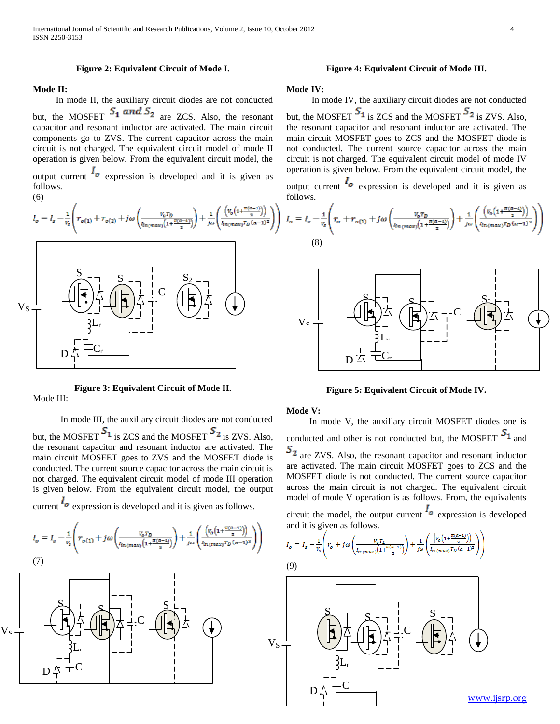### **Figure 2: Equivalent Circuit of Mode I.**

## **Mode II:**

 In mode II, the auxiliary circuit diodes are not conducted but, the MOSFET  $S_1$  and  $S_2$  are ZCS. Also, the resonant capacitor and resonant inductor are activated. The main circuit components go to ZVS. The current capacitor across the main circuit is not charged. The equivalent circuit model of mode II operation is given below. From the equivalent circuit model, the

output current  $\mathbf{z}_0$  expression is developed and it is given as follows.

(6)

Mode III:

$$
I_o = I_s - \frac{1}{v_s} \left( r_{o(1)} + r_{o(2)} + j\omega \left( \frac{v_o \tau_D}{i_{n(max)} \left( 1 + \frac{\pi(a-1)}{2} \right)} \right) + \frac{1}{j\omega} \left( \frac{\left( v_o \left( 1 + \frac{\pi(a-1)}{2} \right) \right)}{i_{n(max)} \tau_D (a-1)^2} \right)}{v_o \left( 1 + \frac{\pi(a-1)}{2} \right)} \right)
$$



**Figure 3: Equivalent Circuit of Mode II.**

 In mode III, the auxiliary circuit diodes are not conducted but, the MOSFET  $S_1$  is ZCS and the MOSFET  $S_2$  is ZVS. Also, the resonant capacitor and resonant inductor are activated. The main circuit MOSFET goes to ZVS and the MOSFET diode is conducted. The current source capacitor across the main circuit is not charged. The equivalent circuit model of mode III operation is given below. From the equivalent circuit model, the output

current  $I_{\circ}$  expression is developed and it is given as follows.

$$
I_o = I_s - \frac{1}{v_s} \left( r_{o(1)} + j\omega \left( \frac{v_o \tau_D}{l_{in(max)} \left( 1 + \frac{\pi(a-1)}{2} \right)} \right) + \frac{1}{j\omega} \left( \frac{\left( v_o \left( 1 + \frac{\pi(a-1)}{2} \right) \right)}{l_{in(max)} \tau_D (a-1)^2} \right) \right)
$$
  
(7)



## **Figure 4: Equivalent Circuit of Mode III.**

## **Mode IV:**

 In mode IV, the auxiliary circuit diodes are not conducted but, the MOSFET  $S_1$  is ZCS and the MOSFET  $S_2$  is ZVS. Also, the resonant capacitor and resonant inductor are activated. The main circuit MOSFET goes to ZCS and the MOSFET diode is not conducted. The current source capacitor across the main circuit is not charged. The equivalent circuit model of mode IV operation is given below. From the equivalent circuit model, the

output current  $I_o$  expression is developed and it is given as follows.

$$
I_o = I_s - \frac{1}{v_s} \left( r_o + r_{o(1)} + j\omega \left( \frac{v_o r_D}{l_{in \, (max)} \left( 1 + \frac{\pi(a - 1)}{2} \right)} \right) + \frac{1}{j\omega} \left( \frac{\left( v_o \left( 1 + \frac{\pi(a - 1)}{2} \right) \right)}{l_{in \, (max)} r_D \left( a - 1 \right)^2} \right) \right)
$$
\n(8)



**Figure 5: Equivalent Circuit of Mode IV.**

## **Mode V:**

 In mode V, the auxiliary circuit MOSFET diodes one is conducted and other is not conducted but, the MOSFET  $S_1$  and  $S_2$  are ZVS. Also, the resonant capacitor and resonant inductor are activated. The main circuit MOSFET goes to ZCS and the MOSFET diode is not conducted. The current source capacitor across the main circuit is not charged. The equivalent circuit model of mode V operation is as follows. From, the equivalents

circuit the model, the output current  $\mathbf{I}_o$  expression is developed and it is given as follows.

$$
I_o = I_s - \frac{1}{v_s} \left( r_o + j \omega \left( \frac{v_o \tau_D}{l_{in \ (max)} \left( 1 + \frac{\pi (a - 1)}{2} \right)} \right) + \frac{1}{j \omega} \left( \frac{\left( v_o \left( 1 + \frac{\pi (a - 1)}{2} \right) \right)}{l_{in \ (max)} \tau_D \left( a - 1 \right)^2} \right) \right)
$$

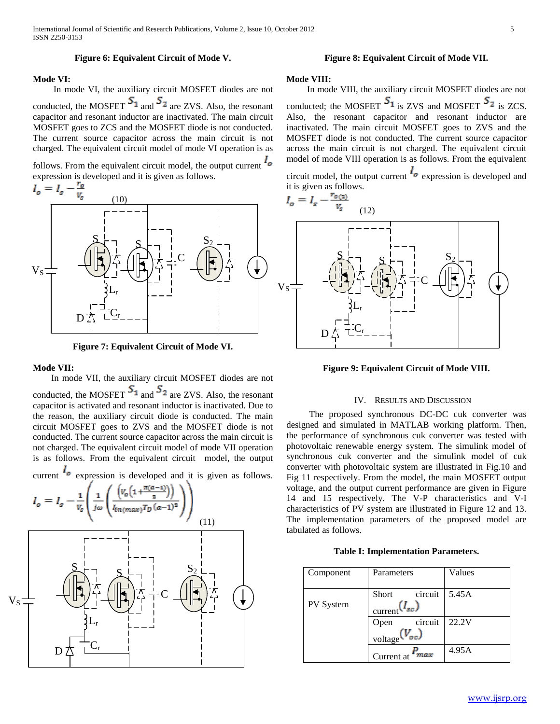## **Figure 6: Equivalent Circuit of Mode V.**

## **Mode VI:**

In mode VI, the auxiliary circuit MOSFET diodes are not

conducted, the MOSFET  $S_1$  and  $S_2$  are ZVS. Also, the resonant capacitor and resonant inductor are inactivated. The main circuit MOSFET goes to ZCS and the MOSFET diode is not conducted. The current source capacitor across the main circuit is not charged. The equivalent circuit model of mode VI operation is as

follows. From the equivalent circuit model, the output current  $I_{\circ}$ 



**Figure 7: Equivalent Circuit of Mode VI.**

#### **Mode VII:**

 In mode VII, the auxiliary circuit MOSFET diodes are not conducted, the MOSFET  $S_1$  and  $S_2$  are ZVS. Also, the resonant capacitor is activated and resonant inductor is inactivated. Due to the reason, the auxiliary circuit diode is conducted. The main circuit MOSFET goes to ZVS and the MOSFET diode is not conducted. The current source capacitor across the main circuit is not charged. The equivalent circuit model of mode VII operation is as follows. From the equivalent circuit model, the output

current  $I_o$  expression is developed and it is given as follows.



## **Figure 8: Equivalent Circuit of Mode VII.**

#### **Mode VIII:**

 In mode VIII, the auxiliary circuit MOSFET diodes are not conducted; the MOSFET  $S_1$  is ZVS and MOSFET  $S_2$  is ZCS. Also, the resonant capacitor and resonant inductor are inactivated. The main circuit MOSFET goes to ZVS and the MOSFET diode is not conducted. The current source capacitor across the main circuit is not charged. The equivalent circuit model of mode VIII operation is as follows. From the equivalent

circuit model, the output current  $\frac{I_o}{I_o}$  expression is developed and



**Figure 9: Equivalent Circuit of Mode VIII.**

#### IV. RESULTS AND DISCUSSION

 The proposed synchronous DC-DC cuk converter was designed and simulated in MATLAB working platform. Then, the performance of synchronous cuk converter was tested with photovoltaic renewable energy system. The simulink model of synchronous cuk converter and the simulink model of cuk converter with photovoltaic system are illustrated in Fig.10 and Fig 11 respectively. From the model, the main MOSFET output voltage, and the output current performance are given in Figure 14 and 15 respectively. The V-P characteristics and V-I characteristics of PV system are illustrated in Figure 12 and 13. The implementation parameters of the proposed model are tabulated as follows.

#### **Table I: Implementation Parameters.**

| Component | Parameters                                           | Values |
|-----------|------------------------------------------------------|--------|
| PV System | circuit<br>Short<br>$\frac{C}{2}$ current $(I_{sc})$ | 5.45A  |
|           | circuit<br>Open<br>voltage $(V_{oc})$                | 22.2V  |
|           | ' max<br>Current at                                  | 4.95A  |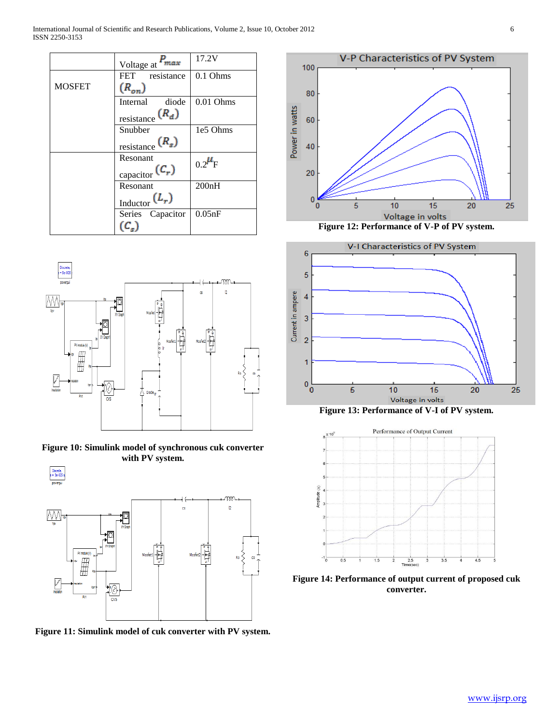International Journal of Scientific and Research Publications, Volume 2, Issue 10, October 2012 6 ISSN 2250-3153

|               | Voltage at <sup>F</sup> max                        | 17.2V         |
|---------------|----------------------------------------------------|---------------|
|               | FET resistance                                     | $0.1$ Ohms    |
| <b>MOSFET</b> | $(R_{on})$                                         |               |
|               | Internal<br>diode                                  | $0.01$ Ohms   |
|               | $\frac{\text{resistance}}{R_d}$                    |               |
|               | Snubber                                            | 1e5 Ohms      |
|               | $\frac{\text{resistance}}{\text{Resistance}}(R_s)$ |               |
|               | Resonant<br>$_{\text{capacitor}}(C_r)$             | $0.2^{\mu}$ F |
|               | Resonant                                           | 200nH         |
|               | $\frac{\text{Inductor}}{\text{Inductor}}(L_r)$     |               |
|               | Series Capacitor                                   | 0.05nF        |
|               |                                                    |               |



**Figure 10: Simulink model of synchronous cuk converter with PV system.**



**Figure 11: Simulink model of cuk converter with PV system.**





**Figure 13: Performance of V-I of PV system.**



**Figure 14: Performance of output current of proposed cuk converter.**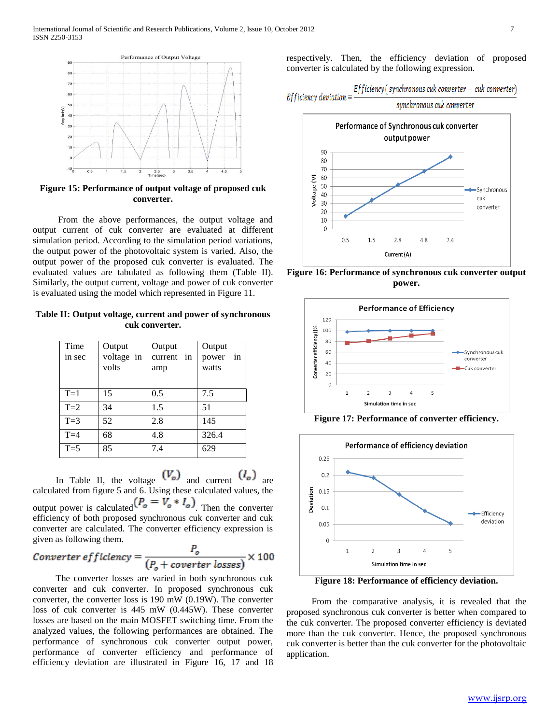

**Figure 15: Performance of output voltage of proposed cuk converter.**

 From the above performances, the output voltage and output current of cuk converter are evaluated at different simulation period. According to the simulation period variations, the output power of the photovoltaic system is varied. Also, the output power of the proposed cuk converter is evaluated. The evaluated values are tabulated as following them (Table II). Similarly, the output current, voltage and power of cuk converter is evaluated using the model which represented in Figure 11.

**Table II: Output voltage, current and power of synchronous cuk converter.**

| Time<br>in sec | Output<br>voltage in<br>volts | Output<br>current in<br>amp | Output<br>power<br>in<br>watts |
|----------------|-------------------------------|-----------------------------|--------------------------------|
| $T=1$          | 15                            | 0.5                         | 7.5                            |
| $T=2$          | 34                            | 1.5                         | 51                             |
| $T=3$          | 52                            | 2.8                         | 145                            |
| $T=4$          | 68                            | 4.8                         | 326.4                          |
| $T=5$          | 85                            | 7.4                         | 629                            |

In Table II, the voltage  $(V_o)$  and current  $(I_o)$ calculated from figure 5 and 6. Using these calculated values, the output power is calculated  $(P_o = V_o * I_o)$ . Then the converter efficiency of both proposed synchronous cuk converter and cuk converter are calculated. The converter efficiency expression is given as following them.

$$
Converter\,efficiency = \frac{P_o}{(P_o + coverter\,losses)} \times 100
$$

 The converter losses are varied in both synchronous cuk converter and cuk converter. In proposed synchronous cuk converter, the converter loss is 190 mW (0.19W). The converter loss of cuk converter is 445 mW (0.445W). These converter losses are based on the main MOSFET switching time. From the analyzed values, the following performances are obtained. The performance of synchronous cuk converter output power, performance of converter efficiency and performance of efficiency deviation are illustrated in Figure 16, 17 and 18

respectively. Then, the efficiency deviation of proposed converter is calculated by the following expression.



**Figure 16: Performance of synchronous cuk converter output power.**



**Figure 17: Performance of converter efficiency.**



**Figure 18: Performance of efficiency deviation.**

 From the comparative analysis, it is revealed that the proposed synchronous cuk converter is better when compared to the cuk converter. The proposed converter efficiency is deviated more than the cuk converter. Hence, the proposed synchronous cuk converter is better than the cuk converter for the photovoltaic application.